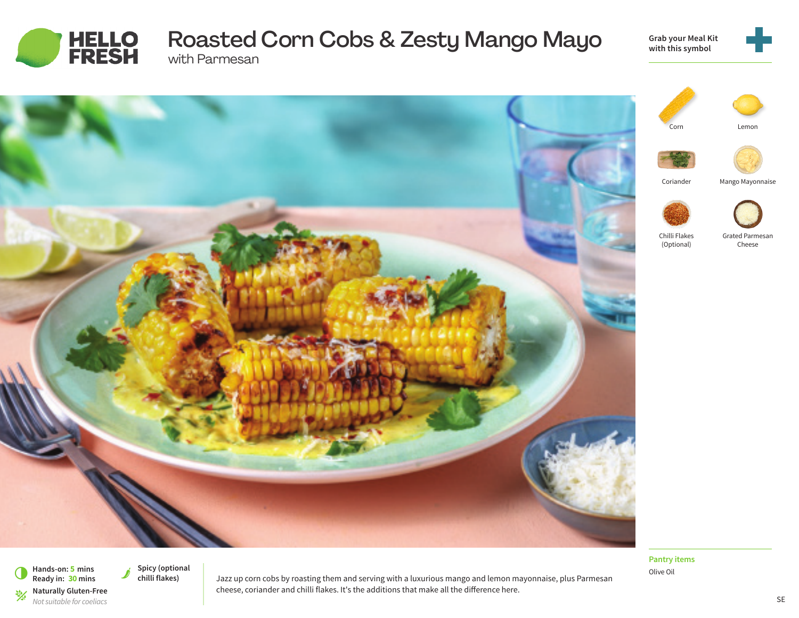

# Roasted Corn Cobs & Zesty Mango Mayo with Parmesan

**Grab your Meal Kit with this symbol**







**Pantry items** Olive Oil



Mango Mayonnaise

(Optional)

Grated Parmesan Cheese

**Hands-on: 5 mins** 6 **Ready in: <sup>30</sup> mins Naturally Gluten-Free**<br>*Not suitable for coeliacs* 

Spicy (optional<br>
chilli flakes)

Jazz up corn cobs by roasting them and serving with a luxurious mango and lemon mayonnaise, plus Parmesan cheese, coriander and chilli flakes. It's the additions that make all the difference here.